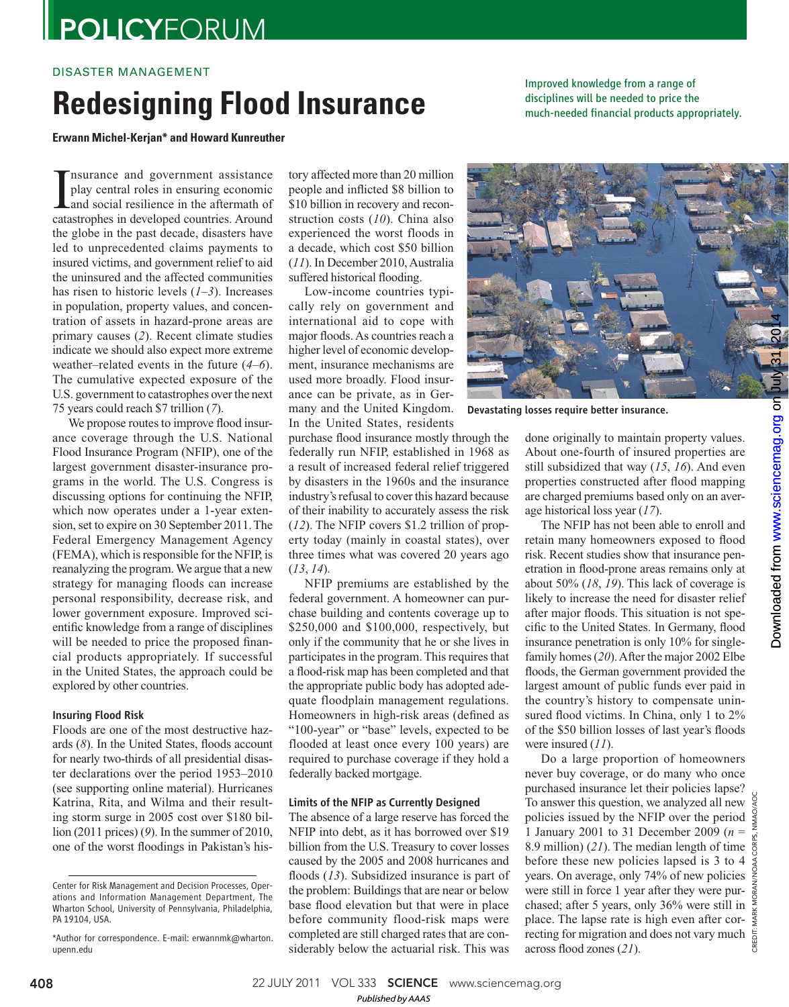# **POLICYFORUM**

## DISASTER MANAGEMENT

# **Redesigning Flood Insurance**

Improved knowledge from a range of disciplines will be needed to price the much-needed financial products appropriately.

**Erwann Michel-Kerjan\* and Howard Kunreuther** 

Insurance and government assistance<br>play central roles in ensuring economic<br>and social resilience in the aftermath of<br>catastrophes in developed countries. Around play central roles in ensuring economic and social resilience in the aftermath of catastrophes in developed countries. Around the globe in the past decade, disasters have led to unprecedented claims payments to insured victims, and government relief to aid the uninsured and the affected communities has risen to historic levels  $(1-3)$ . Increases in population, property values, and concentration of assets in hazard-prone areas are primary causes (2). Recent climate studies indicate we should also expect more extreme weather–related events in the future  $(4-6)$ . The cumulative expected exposure of the U.S. government to catastrophes over the next 75 years could reach \$7 trillion ( *7*).

We propose routes to improve flood insurance coverage through the U.S. National Flood Insurance Program (NFIP), one of the largest government disaster-insurance programs in the world. The U.S. Congress is discussing options for continuing the NFIP, which now operates under a 1-year extension, set to expire on 30 September 2011. The Federal Emergency Management Agency (FEMA), which is responsible for the NFIP, is reanalyzing the program. We argue that a new strategy for managing floods can increase personal responsibility, decrease risk, and lower government exposure. Improved scientific knowledge from a range of disciplines will be needed to price the proposed financial products appropriately. If successful in the United States, the approach could be explored by other countries.

### Insuring Flood Risk

Floods are one of the most destructive hazards (8). In the United States, floods account for nearly two-thirds of all presidential disaster declarations over the period 1953–2010 (see supporting online material). Hurricanes Katrina, Rita, and Wilma and their resulting storm surge in 2005 cost over \$180 billion (2011 prices) (9). In the summer of 2010, one of the worst floodings in Pakistan's history affected more than 20 million people and inflicted \$8 billion to \$10 billion in recovery and reconstruction costs (10). China also experienced the worst floods in a decade, which cost \$50 billion ( *11*). In December 2010, Australia suffered historical flooding.

Low-income countries typically rely on government and international aid to cope with major floods. As countries reach a higher level of economic development, insurance mechanisms are used more broadly. Flood insurance can be private, as in Germany and the United Kingdom. In the United States, residents



NFIP premiums are established by the federal government. A homeowner can purchase building and contents coverage up to \$250,000 and \$100,000, respectively, but only if the community that he or she lives in participates in the program. This requires that a flood-risk map has been completed and that the appropriate public body has adopted adequate floodplain management regulations. Homeowners in high-risk areas (defined as "100-year" or "base" levels, expected to be flooded at least once every 100 years) are required to purchase coverage if they hold a federally backed mortgage.

### Limits of the NFIP as Currently Designed

The absence of a large reserve has forced the NFIP into debt, as it has borrowed over \$19 billion from the U.S. Treasury to cover losses caused by the 2005 and 2008 hurricanes and floods (13). Subsidized insurance is part of the problem: Buildings that are near or below base flood elevation but that were in place before community flood-risk maps were completed are still charged rates that are considerably below the actuarial risk. This was



Devastating losses require better insurance.

done originally to maintain property values. About one-fourth of insured properties are still subsidized that way (15, 16). And even properties constructed after flood mapping are charged premiums based only on an average historical loss year ( *17*).

The NFIP has not been able to enroll and retain many homeowners exposed to flood risk. Recent studies show that insurance penetration in flood-prone areas remains only at about 50% ( *18*, *19*). This lack of coverage is likely to increase the need for disaster relief after major floods. This situation is not specific to the United States. In Germany, flood insurance penetration is only 10% for singlefamily homes (20). After the major 2002 Elbe floods, the German government provided the largest amount of public funds ever paid in the country's history to compensate uninsured flood victims. In China, only 1 to 2% of the \$50 billion losses of last year's floods were insured  $(11)$ .

Do a large proportion of homeowners never buy coverage, or do many who once purchased insurance let their policies lapse? To answer this question, we analyzed all new policies issued by the NFIP over the period  $\frac{5}{9}$ <br>plicies issued by the NFIP over the period  $\frac{5}{9}$ 1 January 2001 to 31 December 2009 (*n* = 8.9 million)  $(2I)$ . The median length of time  $\frac{80}{5}$ before these new policies lapsed is 3 to 4 years. On average, only 74% of new policies were still in force 1 year after they were purchased; after 5 years, only 36% were still in place. The lapse rate is high even after correcting for migration and does not vary much  $\frac{5}{8}$  across flood zones (21). across flood zones (21).

CREDIT: MARK MORAN/NOAA CORPS, NMAO/AOC

408 22 JULY 2011 VOL 333 SCIENCE www.sciencemag.org

Center for Risk Management and Decision Processes, Operations and Information Management Department, The Wharton School, University of Pennsylvania, Philadelphia, PA 19104, USA.

<sup>\*</sup>Author for correspondence. E-mail: erwannmk@wharton. upenn.edu